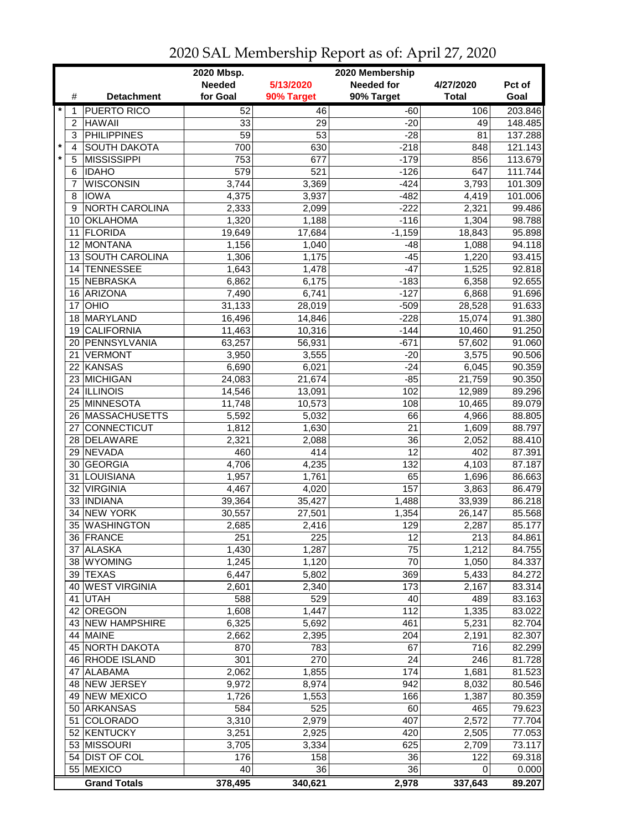|                 |                                      | 2020 Mbsp.      |                  | 2020 Membership   |              |                  |
|-----------------|--------------------------------------|-----------------|------------------|-------------------|--------------|------------------|
|                 |                                      | <b>Needed</b>   | 5/13/2020        | <b>Needed for</b> | 4/27/2020    | Pct of           |
| #               | <b>Detachment</b>                    | for Goal        | 90% Target       | 90% Target        | <b>Total</b> | Goal             |
| $\star$<br>1    | <b>PUERTO RICO</b>                   | 52              | 46               | $-60$             | 106          | 203.846          |
| $\overline{c}$  | <b>HAWAII</b>                        | 33              | 29               | $-20$             | 49           | 148.485          |
| 3               | <b>PHILIPPINES</b>                   | $\overline{59}$ | $\overline{53}$  | $-28$             | 81           | 137.288          |
| $\star$<br>4    | <b>SOUTH DAKOTA</b>                  | 700             | 630              | $-218$            | 848          | 121.143          |
| $\star$<br>5    | <b>MISSISSIPPI</b>                   | 753             | 677              | $-179$            | 856          | 113.679          |
| 6               | <b>IDAHO</b>                         | 579             | $\overline{521}$ | $-126$            | 647          | 111.744          |
| 7               | <b>WISCONSIN</b>                     | 3,744           | 3,369            | $-424$            | 3,793        | 101.309          |
| 8               | <b>IOWA</b>                          | 4,375           | 3,937            | $-482$            | 4,419        | 101.006          |
| 9               | NORTH CAROLINA                       | 2,333           | 2,099            | $-222$            | 2,321        | 99.486           |
| 10              | <b>OKLAHOMA</b>                      | 1,320           | 1,188            | $-116$            | 1,304        | 98.788           |
| 11              | <b>FLORIDA</b>                       | 19,649          | 17,684           | $-1,159$          | 18,843       | 95.898           |
| 12              | MONTANA                              | 1,156           | 1,040            | $-48$             | 1,088        | 94.118           |
|                 | 13 SOUTH CAROLINA                    | 1,306           | 1,175            | $-45$             | 1,220        | 93.415           |
| 14              | <b>TENNESSEE</b>                     | 1,643           | 1,478            | $-47$             | 1,525        | 92.818           |
|                 | 15 NEBRASKA                          | 6,862           |                  |                   | 6,358        | 92.655           |
|                 |                                      |                 | 6,175            | $-183$            |              |                  |
| 16<br>17        | ARIZONA<br>OHIO                      | 7,490           | 6,741            | $-127$            | 6,868        | 91.696           |
| 18              | MARYLAND                             | 31,133          | 28,019           | $-509$            | 28,528       | 91.633<br>91.380 |
|                 |                                      | 16,496          | 14,846           | $-228$            | 15,074       |                  |
| 19              | <b>CALIFORNIA</b><br>20 PENNSYLVANIA | 11,463          | 10,316           | $-144$            | 10,460       | 91.250           |
|                 |                                      | 63,257          | 56,931           | $-671$            | 57,602       | 91.060           |
| 21              | <b>VERMONT</b>                       | 3,950           | 3,555            | $-20$             | 3,575        | 90.506           |
|                 | 22 KANSAS                            | 6,690           | 6,021            | $-24$             | 6,045        | 90.359           |
|                 | 23 MICHIGAN                          | 24,083          | 21,674           | $-85$             | 21,759       | 90.350           |
|                 | 24 ILLINOIS                          | 14,546          | 13,091           | 102               | 12,989       | 89.296           |
|                 | 25 MINNESOTA                         | 11,748          | 10,573           | 108               | 10,465       | 89.079           |
|                 | 26 MASSACHUSETTS                     | 5,592           | 5,032            | 66                | 4,966        | 88.805           |
| 27              | CONNECTICUT                          | 1,812           | 1,630            | 21                | 1,609        | 88.797           |
|                 | 28 DELAWARE                          | 2,321           | 2,088            | 36                | 2,052        | 88.410           |
| 29              | NEVADA                               | 460             | 414              | 12                | 402          | 87.391           |
|                 | 30 GEORGIA                           | 4,706           | 4,235            | 132               | 4,103        | 87.187           |
| 31              | <b>LOUISIANA</b>                     | 1,957           | 1,761            | 65                | 1,696        | 86.663           |
|                 | 32 VIRGINIA                          | 4,467           | 4,020            | 157               | 3,863        | 86.479           |
|                 | 33 INDIANA                           | 39,364          | 35,427           | 1,488             | 33,939       | 86.218           |
| 34              | <b>NEW YORK</b>                      | 30,557          | 27,501           | 1,354             | 26,147       | 85.568           |
| 35 <sup>2</sup> | <b>WASHINGTON</b>                    | 2,685           | 2,416            | 129               | 2,287        | 85.177           |
|                 | 36 FRANCE                            | 251             | $\overline{225}$ | 12                | 213          | 84.861           |
|                 | 37 ALASKA                            | 1,430           | 1,287            | 75                | 1,212        | 84.755           |
|                 | 38 WYOMING                           | 1,245           | 1,120            | 70                | 1,050        | 84.337           |
|                 | 39 TEXAS                             | 6,447           | 5,802            | 369               | 5,433        | 84.272           |
|                 | 40 WEST VIRGINIA                     | 2,601           | 2,340            | 173               | 2,167        | 83.314           |
|                 | 41 UTAH                              | 588             | 529              | 40                | 489          | 83.163           |
|                 | 42 OREGON                            | 1,608           | 1,447            | 112               | 1,335        | 83.022           |
|                 | 43 NEW HAMPSHIRE                     | 6,325           | 5,692            | 461               | 5,231        | 82.704           |
|                 | 44 MAINE                             | 2,662           | 2,395            | 204               | 2,191        | 82.307           |
|                 | 45 NORTH DAKOTA                      | 870             | 783              | 67                | 716          | 82.299           |
|                 | 46 RHODE ISLAND                      | 301             | 270              | 24                | 246          | 81.728           |
| 47              | <b>ALABAMA</b>                       | 2,062           | 1,855            | 174               | 1,681        | 81.523           |
|                 | 48 NEW JERSEY                        | 9,972           | 8,974            | 942               | 8,032        | 80.546           |
|                 | 49 NEW MEXICO                        | 1,726           | 1,553            | 166               | 1,387        | 80.359           |
|                 | 50 ARKANSAS                          | 584             | 525              | 60                | 465          | 79.623           |
| 51              | <b>COLORADO</b>                      | 3,310           | 2,979            | 407               | 2,572        | 77.704           |
|                 | 52 KENTUCKY                          | 3,251           | 2,925            | 420               | 2,505        | 77.053           |
|                 | 53 MISSOURI                          | 3,705           | 3,334            | 625               | 2,709        | 73.117           |
|                 | 54 DIST OF COL                       | 176             | 158              | 36                | 122          | 69.318           |
|                 | 55 MEXICO                            | 40              | 36               | 36                | 0            | 0.000            |
|                 | <b>Grand Totals</b>                  | 378,495         | 340,621          | 2,978             | 337,643      | 89.207           |

2020 SAL Membership Report as of: April 27, 2020